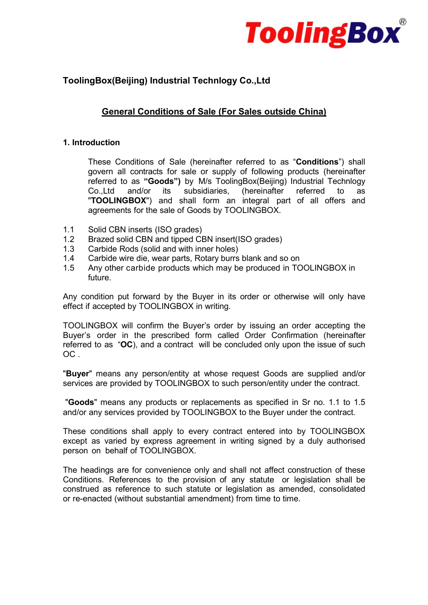

# ToolingBox(Beijing) Industrial Technlogy Co.,Ltd

# General Conditions of Sale (For Sales outside China)

# 1. Introduction

These Conditions of Sale (hereinafter referred to as "Conditions") shall govern all contracts for sale or supply of following products (hereinafter referred to as "Goods") by M/s ToolingBox(Beijing) Industrial Technlogy Co.,Ltd and/or its subsidiaries, (hereinafter referred to as "TOOLINGBOX") and shall form an integral part of all offers and agreements for the sale of Goods by TOOLINGBOX.

- 1.1 Solid CBN inserts (ISO grades)
- 1.2 Brazed solid CBN and tipped CBN insert(ISO grades)
- 1.3 Carbide Rods (solid and with inner holes)
- 1.4 Carbide wire die, wear parts, Rotary burrs blank and so on
- 1.5 Any other carbide products which may be produced in TOOLINGBOX in future.

Any condition put forward by the Buyer in its order or otherwise will only have effect if accepted by TOOLINGBOX in writing.

TOOLINGBOX will confirm the Buyer's order by issuing an order accepting the Buyer's order in the prescribed form called Order Confirmation (hereinafter referred to as "OC), and a contract will be concluded only upon the issue of such OC .

"Buyer" means any person/entity at whose request Goods are supplied and/or services are provided by TOOLINGBOX to such person/entity under the contract.

"Goods" means any products or replacements as specified in Sr no. 1.1 to 1.5 and/or any services provided by TOOLINGBOX to the Buyer under the contract.

These conditions shall apply to every contract entered into by TOOLINGBOX except as varied by express agreement in writing signed by a duly authorised person on behalf of TOOLINGBOX.

The headings are for convenience only and shall not affect construction of these Conditions. References to the provision of any statute or legislation shall be construed as reference to such statute or legislation as amended, consolidated or re-enacted (without substantial amendment) from time to time.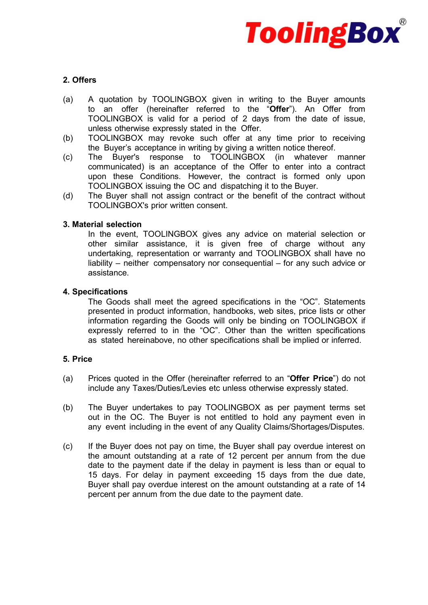

# 2. Offers

- (a) A quotation by TOOLINGBOX given in writing to the Buyer amounts to an offer (hereinafter referred to the "Offer"). An Offer from TOOLINGBOX is valid for a period of 2 days from the date of issue, unless otherwise expressly stated in the Offer.
- (b) TOOLINGBOX may revoke such offer at any time prior to receiving the Buyer's acceptance in writing by giving a written notice thereof.
- (c) The Buyer's response to TOOLINGBOX (in whatever manner communicated) is an acceptance of the Offer to enter into a contract upon these Conditions. However, the contract is formed only upon TOOLINGBOX issuing the OC and dispatching it to the Buyer.
- (d) The Buyer shall not assign contract or the benefit of the contract without TOOLINGBOX's prior written consent.

# 3. Material selection

In the event, TOOLINGBOX gives any advice on material selection or other similar assistance, it is given free of charge without any undertaking, representation or warranty and TOOLINGBOX shall have no liability – neither compensatory nor consequential – for any such advice or assistance.

# 4. Specifications

The Goods shall meet the agreed specifications in the "OC". Statements presented in product information, handbooks, web sites, price lists or other information regarding the Goods will only be binding on TOOLINGBOX if expressly referred to in the "OC". Other than the written specifications as stated hereinabove, no other specifications shall be implied or inferred.

# 5. Price

- (a) Prices quoted in the Offer (hereinafter referred to an "Offer Price") do not include any Taxes/Duties/Levies etc unless otherwise expressly stated.
- (b) The Buyer undertakes to pay TOOLINGBOX as per payment terms set out in the OC. The Buyer is not entitled to hold any payment even in any event including in the event of any Quality Claims/Shortages/Disputes.
- (c) If the Buyer does not pay on time, the Buyer shall pay overdue interest on the amount outstanding at a rate of 12 percent per annum from the due date to the payment date if the delay in payment is less than or equal to 15 days. For delay in payment exceeding 15 days from the due date, Buyer shall pay overdue interest on the amount outstanding at a rate of 14 percent per annum from the due date to the payment date.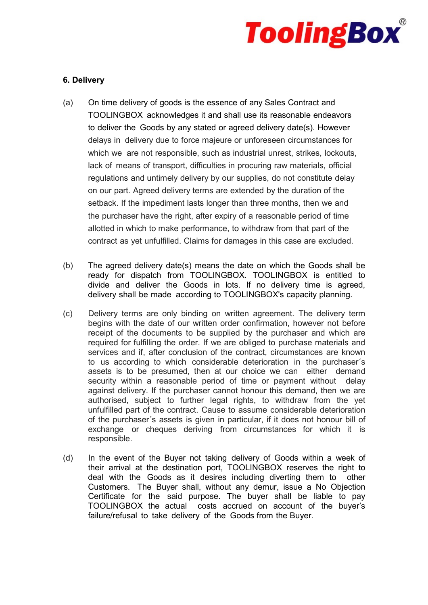

# 6. Delivery

- (a) On time delivery of goods is the essence of any Sales Contract and TOOLINGBOX acknowledges it and shall use its reasonable endeavors to deliver the Goods by any stated or agreed delivery date(s). However delays in delivery due to force majeure or unforeseen circumstances for which we are not responsible, such as industrial unrest, strikes, lockouts, lack of means of transport, difficulties in procuring raw materials, official regulations and untimely delivery by our supplies, do not constitute delay on our part. Agreed delivery terms are extended by the duration of the setback. If the impediment lasts longer than three months, then we and the purchaser have the right, after expiry of a reasonable period of time allotted in which to make performance, to withdraw from that part of the contract as yet unfulfilled. Claims for damages in this case are excluded.
- (b) The agreed delivery date(s) means the date on which the Goods shall be ready for dispatch from TOOLINGBOX. TOOLINGBOX is entitled to divide and deliver the Goods in lots. If no delivery time is agreed, delivery shall be made according to TOOLINGBOX's capacity planning.
- (c) Delivery terms are only binding on written agreement. The delivery term begins with the date of our written order confirmation, however not before receipt of the documents to be supplied by the purchaser and which are required for fulfilling the order. If we are obliged to purchase materials and services and if, after conclusion of the contract, circumstances are known to us according to which considerable deterioration in the purchaser´s assets is to be presumed, then at our choice we can either demand security within a reasonable period of time or payment without delay against delivery. If the purchaser cannot honour this demand, then we are authorised, subject to further legal rights, to withdraw from the yet unfulfilled part of the contract. Cause to assume considerable deterioration of the purchaser´s assets is given in particular, if it does not honour bill of exchange or cheques deriving from circumstances for which it is responsible.
- (d) In the event of the Buyer not taking delivery of Goods within a week of their arrival at the destination port, TOOLINGBOX reserves the right to deal with the Goods as it desires including diverting them to other Customers. The Buyer shall, without any demur, issue a No Objection Certificate for the said purpose. The buyer shall be liable to pay TOOLINGBOX the actual costs accrued on account of the buyer's failure/refusal to take delivery of the Goods from the Buyer.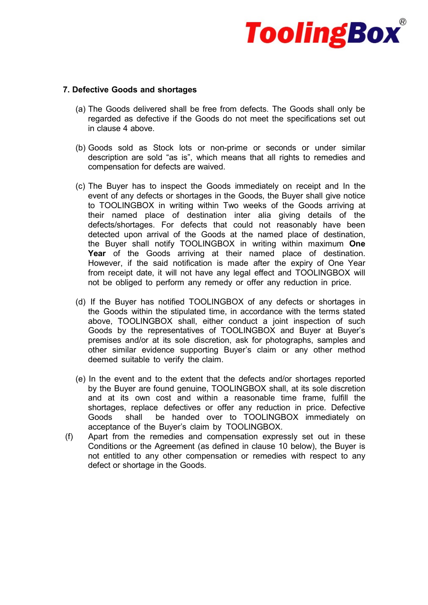

# 7. Defective Goods and shortages

- (a) The Goods delivered shall be free from defects. The Goods shall only be regarded as defective if the Goods do not meet the specifications set out in clause 4 above.
- (b) Goods sold as Stock lots or non-prime or seconds or under similar description are sold "as is", which means that all rights to remedies and compensation for defects are waived.
- (c) The Buyer has to inspect the Goods immediately on receipt and In the event of any defects or shortages in the Goods, the Buyer shall give notice to TOOLINGBOX in writing within Two weeks of the Goods arriving at their named place of destination inter alia giving details of the defects/shortages. For defects that could not reasonably have been detected upon arrival of the Goods at the named place of destination, the Buyer shall notify TOOLINGBOX in writing within maximum One Year of the Goods arriving at their named place of destination. However, if the said notification is made after the expiry of One Year from receipt date, it will not have any legal effect and TOOLINGBOX will not be obliged to perform any remedy or offer any reduction in price.
- (d) If the Buyer has notified TOOLINGBOX of any defects or shortages in the Goods within the stipulated time, in accordance with the terms stated above, TOOLINGBOX shall, either conduct a joint inspection of such Goods by the representatives of TOOLINGBOX and Buyer at Buyer's premises and/or at its sole discretion, ask for photographs, samples and other similar evidence supporting Buyer's claim or any other method deemed suitable to verify the claim.
- (e) In the event and to the extent that the defects and/or shortages reported by the Buyer are found genuine, TOOLINGBOX shall, at its sole discretion and at its own cost and within a reasonable time frame, fulfill the shortages, replace defectives or offer any reduction in price. Defective Goods shall be handed over to TOOLINGBOX immediately on acceptance of the Buyer's claim by TOOLINGBOX.
- (f) Apart from the remedies and compensation expressly set out in these Conditions or the Agreement (as defined in clause 10 below), the Buyer is not entitled to any other compensation or remedies with respect to any defect or shortage in the Goods.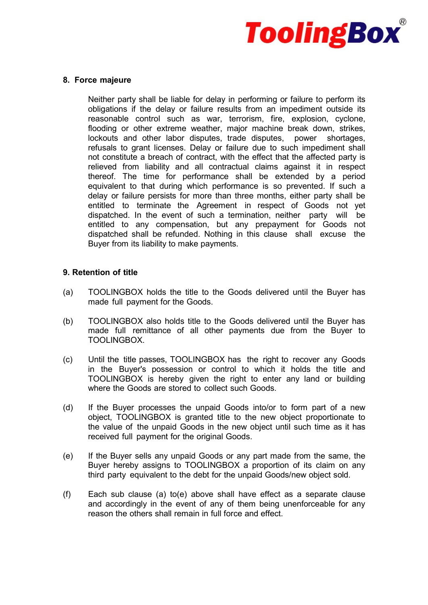

#### 8. Force majeure

Neither party shall be liable for delay in performing or failure to perform its obligations if the delay or failure results from an impediment outside its reasonable control such as war, terrorism, fire, explosion, cyclone, flooding or other extreme weather, major machine break down, strikes, lockouts and other labor disputes, trade disputes, power shortages, refusals to grant licenses. Delay or failure due to such impediment shall not constitute a breach of contract, with the effect that the affected party is relieved from liability and all contractual claims against it in respect thereof. The time for performance shall be extended by a period equivalent to that during which performance is so prevented. If such a delay or failure persists for more than three months, either party shall be entitled to terminate the Agreement in respect of Goods not yet dispatched. In the event of such a termination, neither party will be entitled to any compensation, but any prepayment for Goods not dispatched shall be refunded. Nothing in this clause shall excuse the Buyer from its liability to make payments.

#### 9. Retention of title

- (a) TOOLINGBOX holds the title to the Goods delivered until the Buyer has made full payment for the Goods.
- (b) TOOLINGBOX also holds title to the Goods delivered until the Buyer has made full remittance of all other payments due from the Buyer to TOOLINGBOX.
- (c) Until the title passes, TOOLINGBOX has the right to recover any Goods in the Buyer's possession or control to which it holds the title and TOOLINGBOX is hereby given the right to enter any land or building where the Goods are stored to collect such Goods.
- (d) If the Buyer processes the unpaid Goods into/or to form part of a new object, TOOLINGBOX is granted title to the new object proportionate to the value of the unpaid Goods in the new object until such time as it has received full payment for the original Goods.
- (e) If the Buyer sells any unpaid Goods or any part made from the same, the Buyer hereby assigns to TOOLINGBOX a proportion of its claim on any third party equivalent to the debt for the unpaid Goods/new object sold.
- (f) Each sub clause (a) to(e) above shall have effect as a separate clause and accordingly in the event of any of them being unenforceable for any reason the others shall remain in full force and effect.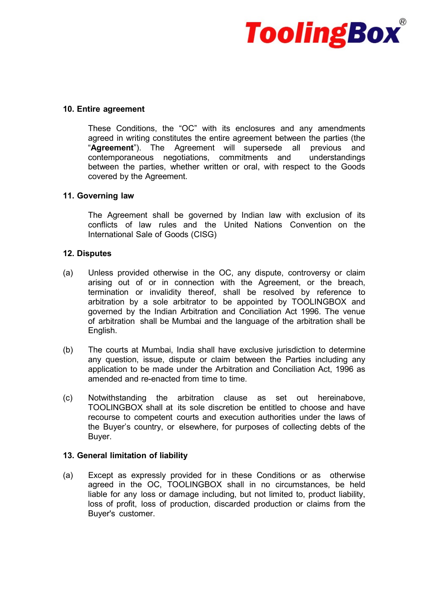

#### 10. Entire agreement

These Conditions, the "OC" with its enclosures and any amendments agreed in writing constitutes the entire agreement between the parties (the "Agreement"). The Agreement will supersede all previous and contemporaneous negotiations, commitments and understandings between the parties, whether written or oral, with respect to the Goods covered by the Agreement.

#### 11. Governing law

The Agreement shall be governed by Indian law with exclusion of its conflicts of law rules and the United Nations Convention on the International Sale of Goods (CISG)

#### 12. Disputes

- (a) Unless provided otherwise in the OC, any dispute, controversy or claim arising out of or in connection with the Agreement, or the breach, termination or invalidity thereof, shall be resolved by reference to arbitration by a sole arbitrator to be appointed by TOOLINGBOX and governed by the Indian Arbitration and Conciliation Act 1996. The venue of arbitration shall be Mumbai and the language of the arbitration shall be English.
- (b) The courts at Mumbai, India shall have exclusive jurisdiction to determine any question, issue, dispute or claim between the Parties including any application to be made under the Arbitration and Conciliation Act, 1996 as amended and re-enacted from time to time.
- (c) Notwithstanding the arbitration clause as set out hereinabove, TOOLINGBOX shall at its sole discretion be entitled to choose and have recourse to competent courts and execution authorities under the laws of the Buyer's country, or elsewhere, for purposes of collecting debts of the Buyer.

#### 13. General limitation of liability

(a) Except as expressly provided for in these Conditions or as otherwise agreed in the OC, TOOLINGBOX shall in no circumstances, be held liable for any loss or damage including, but not limited to, product liability, loss of profit, loss of production, discarded production or claims from the Buyer's customer.